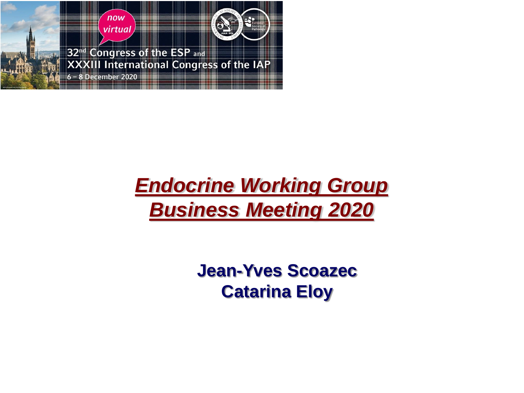

## *Endocrine Working Group Business Meeting 2020*

**Jean-Yves Scoazec Catarina Eloy**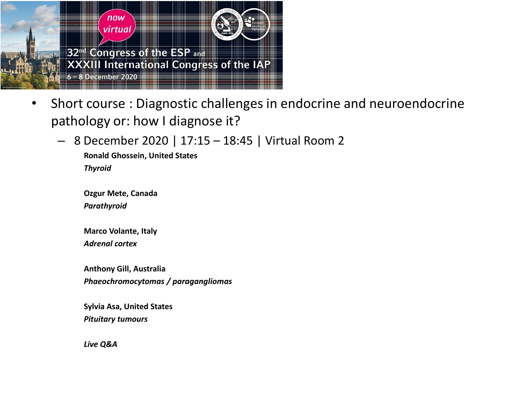

- Short course : Diagnostic challenges in endocrine and neuroendocrine pathology or: how I diagnose it?
	- 8 December 2020 | 17:15 18:45 | Virtual Room 2

**Ronald Ghossein, United States** *Thyroid*

**Ozgur Mete, Canada** *Parathyroid*

**Marco Volante, Italy** *Adrenal cortex*

**Anthony Gill, Australia** *Phaeochromocytomas / paragangliomas*

**Sylvia Asa, United States** *Pituitary tumours*

*Live Q&A*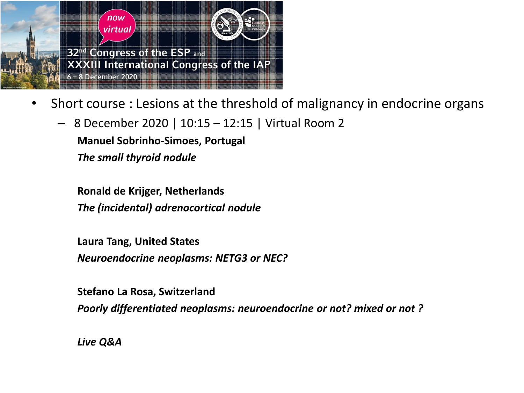

- Short course : Lesions at the threshold of malignancy in endocrine organs
	- 8 December 2020 | 10:15 12:15 | Virtual Room 2

**Manuel Sobrinho-Simoes, Portugal**

*The small thyroid nodule*

**Ronald de Krijger, Netherlands** *The (incidental) adrenocortical nodule*

**Laura Tang, United States** *Neuroendocrine neoplasms: NETG3 or NEC?*

**Stefano La Rosa, Switzerland** *Poorly differentiated neoplasms: neuroendocrine or not? mixed or not ?* 

*Live Q&A*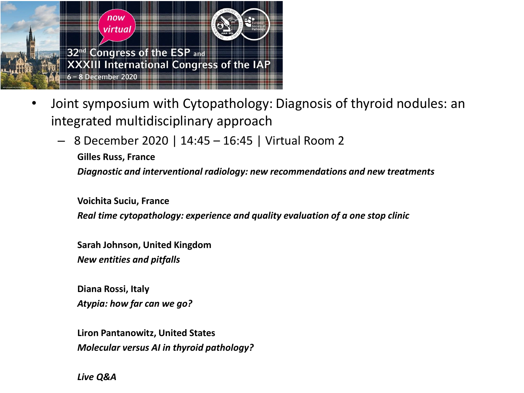

- Joint symposium with Cytopathology: Diagnosis of thyroid nodules: an integrated multidisciplinary approach
	- 8 December 2020 | 14:45 16:45 | Virtual Room 2
		- **Gilles Russ, France**

*Diagnostic and interventional radiology: new recommendations and new treatments*

**Voichita Suciu, France** *Real time cytopathology: experience and quality evaluation of a one stop clinic*

**Sarah Johnson, United Kingdom** *New entities and pitfalls*

**Diana Rossi, Italy** *Atypia: how far can we go?*

**Liron Pantanowitz, United States** *Molecular versus AI in thyroid pathology?*

*Live Q&A*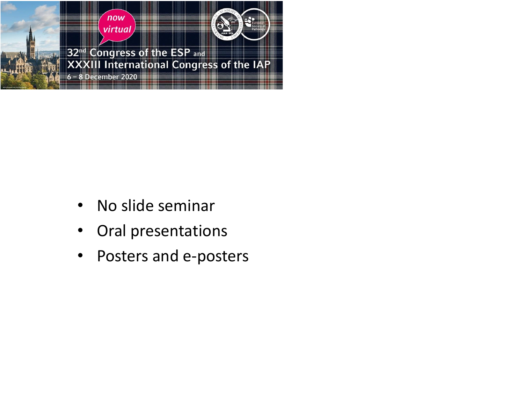

- No slide seminar
- Oral presentations
- Posters and e-posters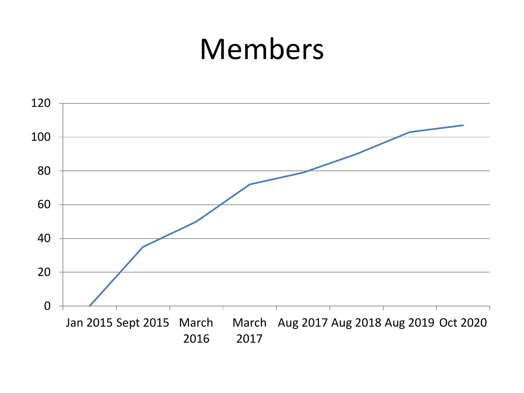# Members

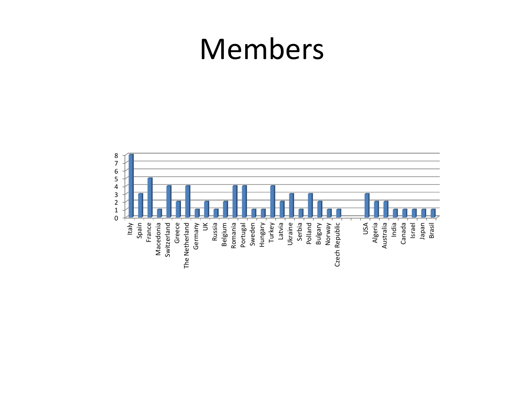# Members

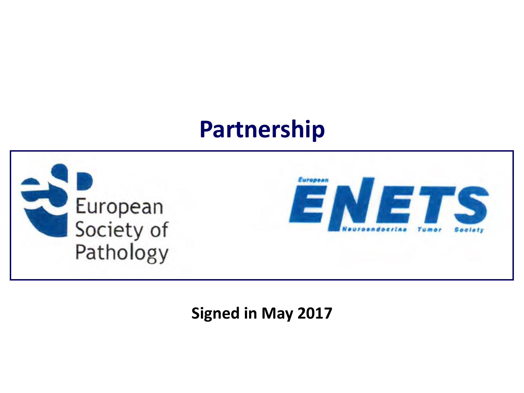## **Partnership**



### **Signed in May 2017**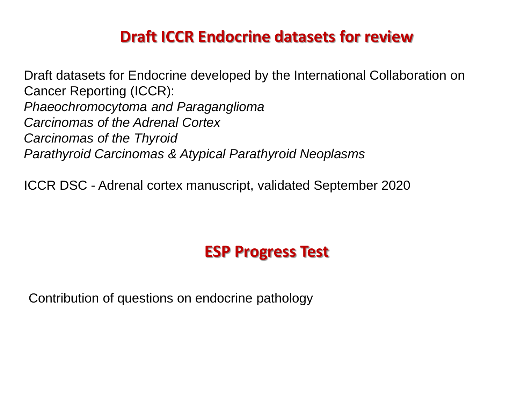## **Draft ICCR Endocrine datasets for review**

Draft datasets for Endocrine developed by the International Collaboration on Cancer Reporting (ICCR): *Phaeochromocytoma and Paraganglioma Carcinomas of the Adrenal Cortex Carcinomas of the Thyroid Parathyroid Carcinomas & Atypical Parathyroid Neoplasms*

ICCR DSC - Adrenal cortex manuscript, validated September 2020

## **ESP Progress Test**

Contribution of questions on endocrine pathology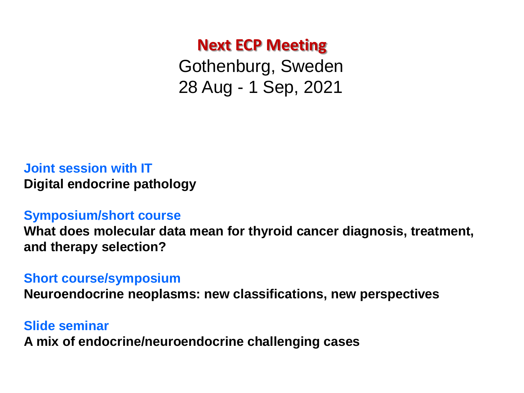### **Next ECP Meeting**

Gothenburg, Sweden 28 Aug - 1 Sep, 2021

#### **Joint session with IT Digital endocrine pathology**

#### **Symposium/short course**

**What does molecular data mean for thyroid cancer diagnosis, treatment, and therapy selection?**

#### **Short course/symposium**

**Neuroendocrine neoplasms: new classifications, new perspectives** 

#### **Slide seminar A mix of endocrine/neuroendocrine challenging cases**